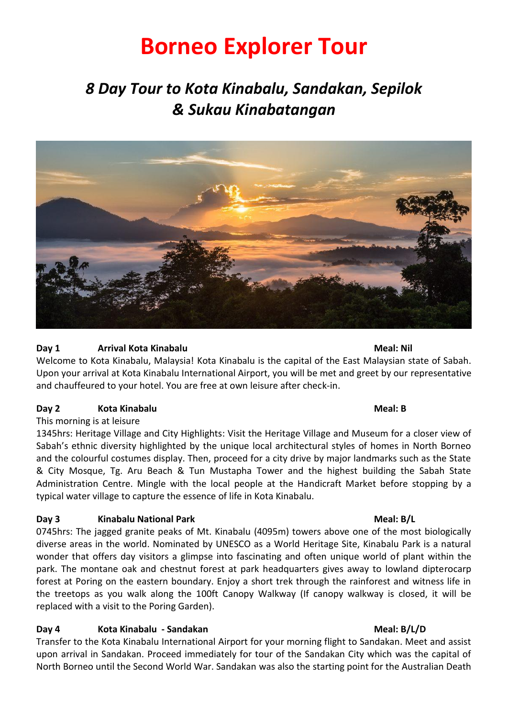# **Borneo Explorer Tour**

## *8 Day Tour to Kota Kinabalu, Sandakan, Sepilok & Sukau Kinabatangan*



### **Day 1 Arrival Kota Kinabalu 1988 1988 Meal: Nil**

Welcome to Kota Kinabalu, Malaysia! Kota Kinabalu is the capital of the East Malaysian state of Sabah. Upon your arrival at Kota Kinabalu International Airport, you will be met and greet by our representative and chauffeured to your hotel. You are free at own leisure after check-in.

### **Day 2 Kota Kinabalu Meal: B**

#### This morning is at leisure

1345hrs: Heritage Village and City Highlights: Visit the Heritage Village and Museum for a closer view of Sabah's ethnic diversity highlighted by the unique local architectural styles of homes in North Borneo and the colourful costumes display. Then, proceed for a city drive by major landmarks such as the State & City Mosque, Tg. Aru Beach & Tun Mustapha Tower and the highest building the Sabah State Administration Centre. Mingle with the local people at the Handicraft Market before stopping by a typical water village to capture the essence of life in Kota Kinabalu.

### **Day 3 Kinabalu National Park Meal: B/L**

0745hrs: The jagged granite peaks of Mt. Kinabalu (4095m) towers above one of the most biologically diverse areas in the world. Nominated by UNESCO as a World Heritage Site, Kinabalu Park is a natural wonder that offers day visitors a glimpse into fascinating and often unique world of plant within the park. The montane oak and chestnut forest at park headquarters gives away to lowland dipterocarp forest at Poring on the eastern boundary. Enjoy a short trek through the rainforest and witness life in the treetops as you walk along the 100ft Canopy Walkway (If canopy walkway is closed, it will be replaced with a visit to the Poring Garden).

### **Day 4 Kota Kinabalu - Sandakan Meal: B/L/D**

Transfer to the Kota Kinabalu International Airport for your morning flight to Sandakan. Meet and assist upon arrival in Sandakan. Proceed immediately for tour of the Sandakan City which was the capital of North Borneo until the Second World War. Sandakan was also the starting point for the Australian Death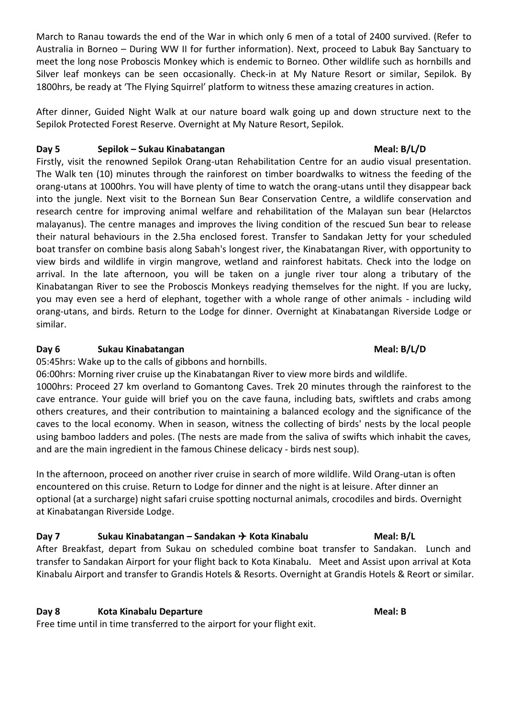March to Ranau towards the end of the War in which only 6 men of a total of 2400 survived. (Refer to Australia in Borneo – During WW II for further information). Next, proceed to Labuk Bay Sanctuary to meet the long nose Proboscis Monkey which is endemic to Borneo. Other wildlife such as hornbills and Silver leaf monkeys can be seen occasionally. Check-in at My Nature Resort or similar, Sepilok. By 1800hrs, be ready at 'The Flying Squirrel' platform to witness these amazing creatures in action.

After dinner, Guided Night Walk at our nature board walk going up and down structure next to the Sepilok Protected Forest Reserve. Overnight at My Nature Resort, Sepilok.

### **Day 5 Sepilok – Sukau Kinabatangan Meal: B/L/D**

Firstly, visit the renowned Sepilok Orang-utan Rehabilitation Centre for an audio visual presentation. The Walk ten (10) minutes through the rainforest on timber boardwalks to witness the feeding of the orang-utans at 1000hrs. You will have plenty of time to watch the orang-utans until they disappear back into the jungle. Next visit to the Bornean Sun Bear Conservation Centre, a wildlife conservation and research centre for improving animal welfare and rehabilitation of the Malayan sun bear (Helarctos malayanus). The centre manages and improves the living condition of the rescued Sun bear to release their natural behaviours in the 2.5ha enclosed forest. Transfer to Sandakan Jetty for your scheduled boat transfer on combine basis along Sabah's longest river, the Kinabatangan River, with opportunity to view birds and wildlife in virgin mangrove, wetland and rainforest habitats. Check into the lodge on arrival. In the late afternoon, you will be taken on a jungle river tour along a tributary of the Kinabatangan River to see the Proboscis Monkeys readying themselves for the night. If you are lucky, you may even see a herd of elephant, together with a whole range of other animals - including wild orang-utans, and birds. Return to the Lodge for dinner. Overnight at Kinabatangan Riverside Lodge or similar.

### **Day 6 Sukau Kinabatangan Meal: B/L/D**

05:45hrs: Wake up to the calls of gibbons and hornbills.

06:00hrs: Morning river cruise up the Kinabatangan River to view more birds and wildlife. 1000hrs: Proceed 27 km overland to Gomantong Caves. Trek 20 minutes through the rainforest to the cave entrance. Your guide will brief you on the cave fauna, including bats, swiftlets and crabs among others creatures, and their contribution to maintaining a balanced ecology and the significance of the caves to the local economy. When in season, witness the collecting of birds' nests by the local people using bamboo ladders and poles. (The nests are made from the saliva of swifts which inhabit the caves, and are the main ingredient in the famous Chinese delicacy - birds nest soup).

In the afternoon, proceed on another river cruise in search of more wildlife. Wild Orang-utan is often encountered on this cruise. Return to Lodge for dinner and the night is at leisure. After dinner an optional (at a surcharge) night safari cruise spotting nocturnal animals, crocodiles and birds. Overnight at Kinabatangan Riverside Lodge.

**Day 7 Sukau Kinabatangan – Sandakan Kota Kinabalu Meal: B/L** After Breakfast, depart from Sukau on scheduled combine boat transfer to Sandakan. Lunch and transfer to Sandakan Airport for your flight back to Kota Kinabalu. Meet and Assist upon arrival at Kota Kinabalu Airport and transfer to Grandis Hotels & Resorts. Overnight at Grandis Hotels & Reort or similar.

### **Day 8 Kota Kinabalu Departure Meal: B**

Free time until in time transferred to the airport for your flight exit.